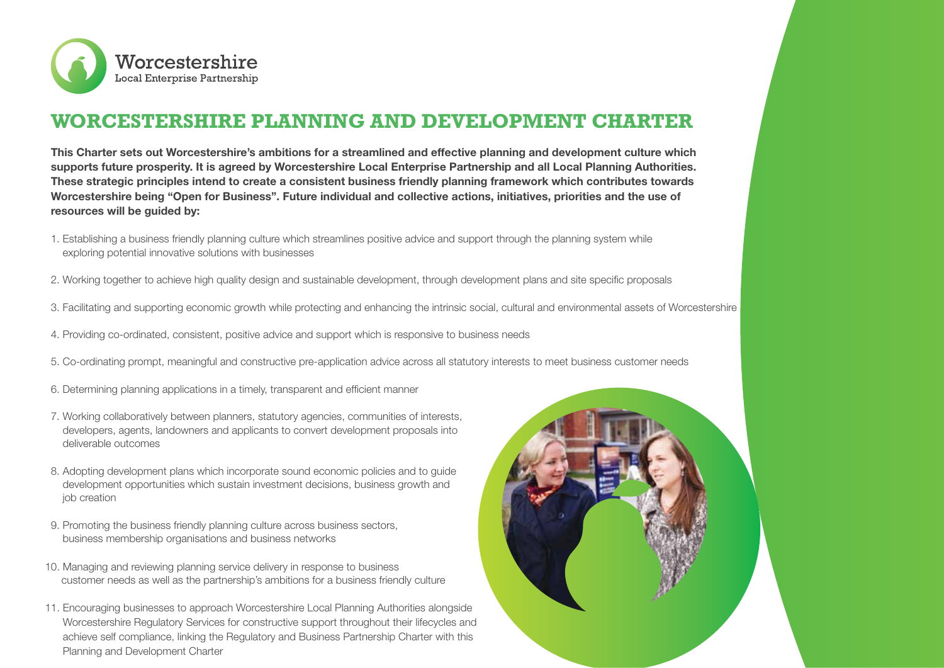

## **WORCESTERSHIRE PLANNING AND DEVELOPMENT CHARTER**

**This Charter sets out Worcestershire's ambitions for a streamlined and effective planning and development culture which supports future prosperity. It is agreed by Worcestershire Local Enterprise Partnership and all Local Planning Authorities. These strategic principles intend to create a consistent business friendly planning framework which contributes towards Worcestershire being "Open for Business". Future individual and collective actions, initiatives, priorities and the use of resources will be guided by:**

- 1. Establishing a business friendly planning culture which streamlines positive advice and support through the planning system while exploring potential innovative solutions with businesses
- 2. Working together to achieve high quality design and sustainable development, through development plans and site specific proposals
- 3. Facilitating and supporting economic growth while protecting and enhancing the intrinsic social, cultural and environmental assets of Worcestershire
- 4. Providing co-ordinated, consistent, positive advice and support which is responsive to business needs
- 5. Co-ordinating prompt, meaningful and constructive pre-application advice across all statutory interests to meet business customer needs
- 6. Determining planning applications in a timely, transparent and efficient manner
- 7. Working collaboratively between planners, statutory agencies, communities of interests, developers, agents, landowners and applicants to convert development proposals into deliverable outcomes
- 8. Adopting development plans which incorporate sound economic policies and to guide development opportunities which sustain investment decisions, business growth and job creation
- 9. Promoting the business friendly planning culture across business sectors, business membership organisations and business networks
- 10. Managing and reviewing planning service delivery in response to business customer needs as well as the partnership's ambitions for a business friendly culture
- 11. Encouraging businesses to approach Worcestershire Local Planning Authorities alongside Worcestershire Regulatory Services for constructive support throughout their lifecycles and achieve self compliance, linking the Regulatory and Business Partnership Charter with this Planning and Development Charter